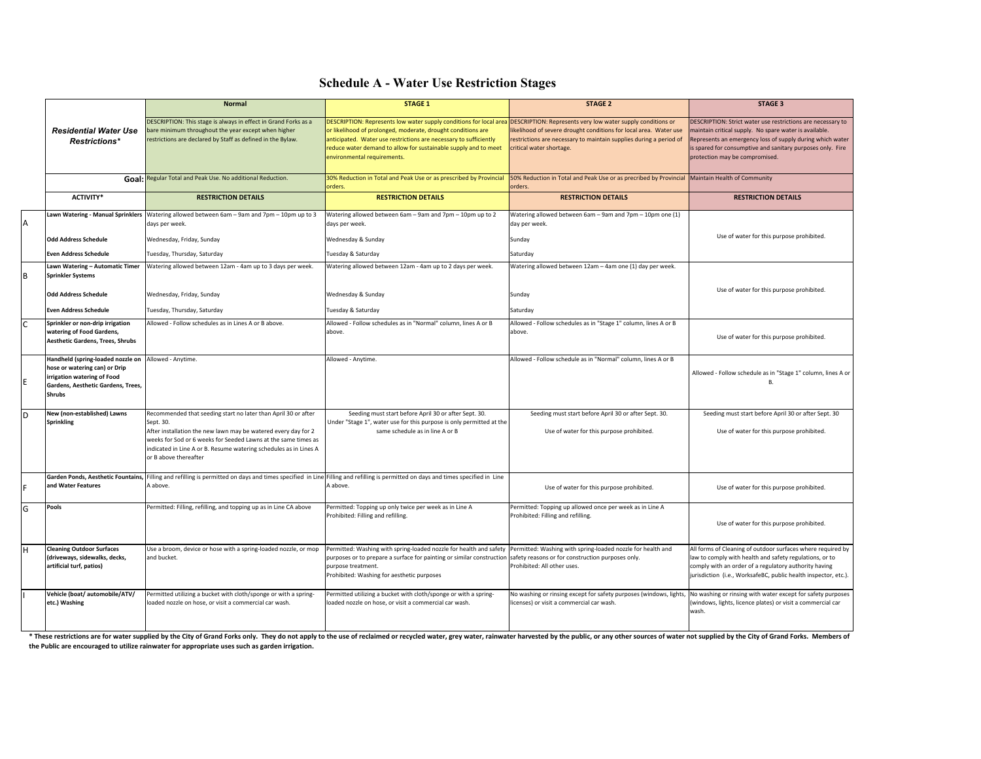## **Schedule A - Water Use Restriction Stages**

|   |                                                                                                                                                                             | <b>Normal</b>                                                                                                                                                                                                                                                                                                 | <b>STAGE 1</b>                                                                                                                                                                                                                                                                                           | <b>STAGE 2</b>                                                                                                                                                                                                                    | <b>STAGE 3</b>                                                                                                                                                                                                                                                                     |
|---|-----------------------------------------------------------------------------------------------------------------------------------------------------------------------------|---------------------------------------------------------------------------------------------------------------------------------------------------------------------------------------------------------------------------------------------------------------------------------------------------------------|----------------------------------------------------------------------------------------------------------------------------------------------------------------------------------------------------------------------------------------------------------------------------------------------------------|-----------------------------------------------------------------------------------------------------------------------------------------------------------------------------------------------------------------------------------|------------------------------------------------------------------------------------------------------------------------------------------------------------------------------------------------------------------------------------------------------------------------------------|
|   | <b>Residential Water Use</b><br>Restrictions*                                                                                                                               | DESCRIPTION: This stage is always in effect in Grand Forks as a<br>bare minimum throughout the year except when higher<br>restrictions are declared by Staff as defined in the Bylaw.                                                                                                                         | DESCRIPTION: Represents low water supply conditions for local are<br>or likelihood of prolonged, moderate, drought conditions are<br>anticipated. Water use restrictions are necessary to sufficiently<br>reduce water demand to allow for sustainable supply and to meet<br>environmental requirements. | DESCRIPTION: Represents very low water supply conditions or<br>ikelihood of severe drought conditions for local area. Water use<br>restrictions are necessary to maintain supplies during a period of<br>critical water shortage. | DESCRIPTION: Strict water use restrictions are necessary to<br>maintain critical supply. No spare water is available.<br>Represents an emergency loss of supply during which water<br>is spared for consumptive and sanitary purposes only. Fire<br>protection may be compromised. |
|   |                                                                                                                                                                             | Goal: Regular Total and Peak Use. No additional Reduction.                                                                                                                                                                                                                                                    | 30% Reduction in Total and Peak Use or as prescribed by Provincial<br>orders.                                                                                                                                                                                                                            | 50% Reduction in Total and Peak Use or as precribed by Provincial Maintain Health of Community<br>orders.                                                                                                                         |                                                                                                                                                                                                                                                                                    |
|   | ACTIVITY*                                                                                                                                                                   | <b>RESTRICTION DETAILS</b>                                                                                                                                                                                                                                                                                    | <b>RESTRICTION DETAILS</b>                                                                                                                                                                                                                                                                               | <b>RESTRICTION DETAILS</b>                                                                                                                                                                                                        | <b>RESTRICTION DETAILS</b>                                                                                                                                                                                                                                                         |
| A |                                                                                                                                                                             | Lawn Watering - Manual Sprinklers   Watering allowed between 6am - 9am and 7pm - 10pm up to 3<br>days per week.                                                                                                                                                                                               | Watering allowed between 6am - 9am and 7pm - 10pm up to 2<br>days per week.                                                                                                                                                                                                                              | Watering allowed between 6am - 9am and 7pm - 10pm one (1)<br>day per week.                                                                                                                                                        | Use of water for this purpose prohibited.                                                                                                                                                                                                                                          |
|   | <b>Odd Address Schedule</b><br><b>Even Address Schedule</b>                                                                                                                 | Wednesday, Friday, Sunday<br>Tuesday, Thursday, Saturday                                                                                                                                                                                                                                                      | Wednesday & Sunday<br>Tuesday & Saturday                                                                                                                                                                                                                                                                 | Sunday<br>Saturday                                                                                                                                                                                                                |                                                                                                                                                                                                                                                                                    |
| B | Lawn Watering - Automatic Timer<br><b>Sprinkler Systems</b>                                                                                                                 | Watering allowed between 12am - 4am up to 3 days per week.                                                                                                                                                                                                                                                    | Watering allowed between 12am - 4am up to 2 days per week.                                                                                                                                                                                                                                               | Watering allowed between 12am - 4am one (1) day per week.                                                                                                                                                                         |                                                                                                                                                                                                                                                                                    |
|   | <b>Odd Address Schedule</b>                                                                                                                                                 | Wednesday, Friday, Sunday                                                                                                                                                                                                                                                                                     | Wednesday & Sunday                                                                                                                                                                                                                                                                                       | Sunday                                                                                                                                                                                                                            | Use of water for this purpose prohibited.                                                                                                                                                                                                                                          |
|   | <b>Even Address Schedule</b><br>Sprinkler or non-drip irrigation                                                                                                            | Tuesday, Thursday, Saturday<br>Allowed - Follow schedules as in Lines A or B above.                                                                                                                                                                                                                           | Tuesday & Saturday<br>Allowed - Follow schedules as in "Normal" column, lines A or B                                                                                                                                                                                                                     | Saturday<br>Allowed - Follow schedules as in "Stage 1" column, lines A or B                                                                                                                                                       |                                                                                                                                                                                                                                                                                    |
|   | watering of Food Gardens,<br><b>Aesthetic Gardens, Trees, Shrubs</b>                                                                                                        |                                                                                                                                                                                                                                                                                                               | above.                                                                                                                                                                                                                                                                                                   | above.                                                                                                                                                                                                                            | Use of water for this purpose prohibited.                                                                                                                                                                                                                                          |
|   | Handheld (spring-loaded nozzle on Allowed - Anytime.<br>hose or watering can) or Drip<br>irrigation watering of Food<br>Gardens, Aesthetic Gardens, Trees,<br><b>Shrubs</b> |                                                                                                                                                                                                                                                                                                               | Allowed - Anytime.                                                                                                                                                                                                                                                                                       | Allowed - Follow schedule as in "Normal" column, lines A or B                                                                                                                                                                     | Allowed - Follow schedule as in "Stage 1" column, lines A or<br>B                                                                                                                                                                                                                  |
| D | New (non-established) Lawns<br><b>Sprinkling</b>                                                                                                                            | Recommended that seeding start no later than April 30 or after<br>Sept. 30.<br>After installation the new lawn may be watered every day for 2<br>weeks for Sod or 6 weeks for Seeded Lawns at the same times as<br>indicated in Line A or B. Resume watering schedules as in Lines A<br>or B above thereafter | Seeding must start before April 30 or after Sept. 30.<br>Under "Stage 1", water use for this purpose is only permitted at the<br>same schedule as in line A or B                                                                                                                                         | Seeding must start before April 30 or after Sept. 30.<br>Use of water for this purpose prohibited.                                                                                                                                | Seeding must start before April 30 or after Sept. 30<br>Use of water for this purpose prohibited.                                                                                                                                                                                  |
|   | and Water Features                                                                                                                                                          | A above.                                                                                                                                                                                                                                                                                                      | Garden Ponds, Aesthetic Fountains, Filling and refilling is permitted on days and times specified in Line Filling and refilling is permitted on days and times specified in Line<br>A above.                                                                                                             | Use of water for this purpose prohibited.                                                                                                                                                                                         | Use of water for this purpose prohibited.                                                                                                                                                                                                                                          |
| G | Pools                                                                                                                                                                       | Permitted: Filling, refilling, and topping up as in Line CA above                                                                                                                                                                                                                                             | Permitted: Topping up only twice per week as in Line A<br>Prohibited: Filling and refilling.                                                                                                                                                                                                             | Permitted: Topping up allowed once per week as in Line A<br>Prohibited: Filling and refilling.                                                                                                                                    | Use of water for this purpose prohibited.                                                                                                                                                                                                                                          |
| H | <b>Cleaning Outdoor Surfaces</b><br>(driveways, sidewalks, decks,<br>artificial turf, patios)                                                                               | Use a broom, device or hose with a spring-loaded nozzle, or mop<br>and bucket.                                                                                                                                                                                                                                | Permitted: Washing with spring-loaded nozzle for health and safety<br>purposes or to prepare a surface for painting or similar construction safety reasons or for construction purposes only.<br>purpose treatment.<br>Prohibited: Washing for aesthetic purposes                                        | Permitted: Washing with spring-loaded nozzle for health and<br>Prohibited: All other uses.                                                                                                                                        | All forms of Cleaning of outdoor surfaces where required by<br>law to comply with health and safety regulations, or to<br>comply with an order of a regulatory authority having<br>jurisdiction (i.e., WorksafeBC, public health inspector, etc.).                                 |
|   | Vehicle (boat/ automobile/ATV/<br>etc.) Washing                                                                                                                             | Permitted utilizing a bucket with cloth/sponge or with a spring-<br>loaded nozzle on hose, or visit a commercial car wash.                                                                                                                                                                                    | Permitted utilizing a bucket with cloth/sponge or with a spring-<br>loaded nozzle on hose, or visit a commercial car wash.                                                                                                                                                                               | No washing or rinsing except for safety purposes (windows, lights,<br>licenses) or visit a commercial car wash.                                                                                                                   | No washing or rinsing with water except for safety purposes<br>(windows, lights, licence plates) or visit a commercial car<br>wash.                                                                                                                                                |

\* These restrictions are for water supplied by the City of Grand Forks only. They do not apply to the use of reclaimed or recycled water, grey water, rainwater harvested by the public, or any other sources of water not sup **the Public are encouraged to utilize rainwater for appropriate uses such as garden irrigation.**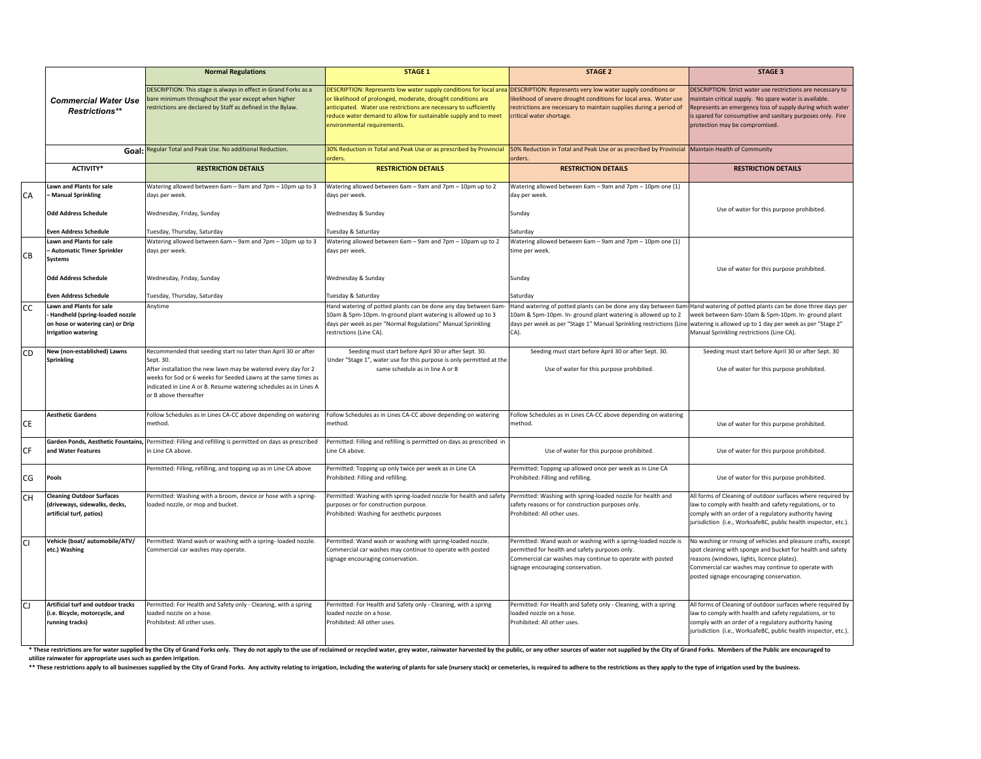|     |                                                                                                                                     | <b>Normal Regulations</b>                                                                                                                                                                                                                                                                                     | <b>STAGE 1</b>                                                                                                                                                                                                                                                                                                                                                        | <b>STAGE 2</b>                                                                                                                                                                                                     | <b>STAGE 3</b>                                                                                                                                                                                                                                                                     |
|-----|-------------------------------------------------------------------------------------------------------------------------------------|---------------------------------------------------------------------------------------------------------------------------------------------------------------------------------------------------------------------------------------------------------------------------------------------------------------|-----------------------------------------------------------------------------------------------------------------------------------------------------------------------------------------------------------------------------------------------------------------------------------------------------------------------------------------------------------------------|--------------------------------------------------------------------------------------------------------------------------------------------------------------------------------------------------------------------|------------------------------------------------------------------------------------------------------------------------------------------------------------------------------------------------------------------------------------------------------------------------------------|
|     | <b>Commercial Water Use</b><br><b>Restrictions**</b>                                                                                | DESCRIPTION: This stage is always in effect in Grand Forks as a<br>are minimum throughout the year except when higher<br>restrictions are declared by Staff as defined in the Bylaw.                                                                                                                          | DESCRIPTION: Represents low water supply conditions for local area DESCRIPTION: Represents very low water supply conditions or<br>or likelihood of prolonged, moderate, drought conditions are<br>anticipated. Water use restrictions are necessary to sufficiently<br>reduce water demand to allow for sustainable supply and to meet<br>environmental requirements. | ikelihood of severe drought conditions for local area. Water use<br>restrictions are necessary to maintain supplies during a period of<br>critical water shortage.                                                 | DESCRIPTION: Strict water use restrictions are necessary to<br>maintain critical supply. No spare water is available.<br>Represents an emergency loss of supply during which water<br>is spared for consumptive and sanitary purposes only. Fire<br>protection may be compromised. |
|     |                                                                                                                                     | Goal: Regular Total and Peak Use. No additional Reduction.                                                                                                                                                                                                                                                    | 30% Reduction in Total and Peak Use or as prescribed by Provincial<br>orders.                                                                                                                                                                                                                                                                                         | 50% Reduction in Total and Peak Use or as precribed by Provincial Maintain Health of Community<br>orders.                                                                                                          |                                                                                                                                                                                                                                                                                    |
|     | <b>ACTIVITY*</b>                                                                                                                    | <b>RESTRICTION DETAILS</b>                                                                                                                                                                                                                                                                                    | <b>RESTRICTION DETAILS</b>                                                                                                                                                                                                                                                                                                                                            | <b>RESTRICTION DETAILS</b>                                                                                                                                                                                         | <b>RESTRICTION DETAILS</b>                                                                                                                                                                                                                                                         |
| CA  | <b>Lawn and Plants for sale</b><br>- Manual Sprinkling                                                                              | Watering allowed between 6am - 9am and 7pm - 10pm up to 3<br>days per week.                                                                                                                                                                                                                                   | Watering allowed between 6am - 9am and 7pm - 10pm up to 2<br>days per week.                                                                                                                                                                                                                                                                                           | Watering allowed between 6am - 9am and 7pm - 10pm one (1)<br>day per week.                                                                                                                                         |                                                                                                                                                                                                                                                                                    |
|     | <b>Odd Address Schedule</b>                                                                                                         | Wednesday, Friday, Sunday                                                                                                                                                                                                                                                                                     | Wednesday & Sunday                                                                                                                                                                                                                                                                                                                                                    | Sunday                                                                                                                                                                                                             | Use of water for this purpose prohibited.                                                                                                                                                                                                                                          |
|     | <b>Even Address Schedule</b>                                                                                                        | Tuesday, Thursday, Saturday                                                                                                                                                                                                                                                                                   | Tuesday & Saturday                                                                                                                                                                                                                                                                                                                                                    | Saturday                                                                                                                                                                                                           |                                                                                                                                                                                                                                                                                    |
| СВ  | <b>Lawn and Plants for sale</b><br>- Automatic Timer Sprinkler<br>Systems                                                           | Watering allowed between 6am - 9am and 7pm - 10pm up to 3<br>days per week.                                                                                                                                                                                                                                   | Watering allowed between 6am - 9am and 7pm - 10pam up to 2<br>days per week.                                                                                                                                                                                                                                                                                          | Watering allowed between 6am - 9am and 7pm - 10pm one (1)<br>time per week.                                                                                                                                        |                                                                                                                                                                                                                                                                                    |
|     | <b>Odd Address Schedule</b>                                                                                                         | Wednesday, Friday, Sunday                                                                                                                                                                                                                                                                                     | Wednesday & Sunday                                                                                                                                                                                                                                                                                                                                                    | Sunday                                                                                                                                                                                                             | Use of water for this purpose prohibited.                                                                                                                                                                                                                                          |
|     | Even Address Schedule                                                                                                               | Tuesday, Thursday, Saturday                                                                                                                                                                                                                                                                                   | Tuesday & Saturday                                                                                                                                                                                                                                                                                                                                                    | Saturday                                                                                                                                                                                                           |                                                                                                                                                                                                                                                                                    |
| СC  | <b>Lawn and Plants for sale</b><br>Handheld (spring-loaded nozzle<br>on hose or watering can) or Drip<br><b>Irrigation watering</b> | Anytime                                                                                                                                                                                                                                                                                                       | land watering of potted plants can be done any day between 6am<br>10am & 5pm-10pm. In-ground plant watering is allowed up to 3<br>days per week as per "Normal Regulations" Manual Sprinkling<br>restrictions (Line CA).                                                                                                                                              | Hand watering of potted plants can be done any day between 6am<br>10am & 5pm-10pm. In- ground plant watering is allowed up to 2<br>days per week as per "Stage 1" Manual Sprinkling restrictions (Line<br>CA).     | Hand watering of potted plants can be done three days per<br>week between 6am-10am & 5pm-10pm. In- ground plant<br>watering is allowed up to 1 day per week as per "Stage 2"<br>Manual Sprinkling restrictions (Line CA).                                                          |
| CD  | New (non-established) Lawns<br><b>Sprinkling</b>                                                                                    | Recommended that seeding start no later than April 30 or after<br>Sept. 30.<br>After installation the new lawn may be watered every day for 2<br>weeks for Sod or 6 weeks for Seeded Lawns at the same times as<br>indicated in Line A or B. Resume watering schedules as in Lines A<br>or B above thereafter | Seeding must start before April 30 or after Sept. 30.<br>Under "Stage 1", water use for this purpose is only permitted at the<br>same schedule as in line A or B                                                                                                                                                                                                      | Seeding must start before April 30 or after Sept. 30.<br>Use of water for this purpose prohibited.                                                                                                                 | Seeding must start before April 30 or after Sept. 30<br>Use of water for this purpose prohibited.                                                                                                                                                                                  |
| СE  | <b>Aesthetic Gardens</b>                                                                                                            | Follow Schedules as in Lines CA-CC above depending on watering<br>method.                                                                                                                                                                                                                                     | Follow Schedules as in Lines CA-CC above depending on watering<br>nethod.                                                                                                                                                                                                                                                                                             | Follow Schedules as in Lines CA-CC above depending on watering<br>method.                                                                                                                                          | Use of water for this purpose prohibited.                                                                                                                                                                                                                                          |
| CF  | and Water Features                                                                                                                  | Garden Ponds, Aesthetic Fountains, Permitted: Filling and refilling is permitted on days as prescribed<br>in Line CA above.                                                                                                                                                                                   | Permitted: Filling and refilling is permitted on days as prescribed in<br>Line CA above.                                                                                                                                                                                                                                                                              | Use of water for this purpose prohibited.                                                                                                                                                                          | Use of water for this purpose prohibited.                                                                                                                                                                                                                                          |
| CG  | Pools                                                                                                                               | Permitted: Filling, refilling, and topping up as in Line CA above                                                                                                                                                                                                                                             | ermitted: Topping up only twice per week as in Line CA<br>Prohibited: Filling and refilling.                                                                                                                                                                                                                                                                          | Permitted: Topping up allowed once per week as in Line CA<br>Prohibited: Filling and refilling.                                                                                                                    | Use of water for this purpose prohibited.                                                                                                                                                                                                                                          |
| CН  | <b>Cleaning Outdoor Surfaces</b><br>(driveways, sidewalks, decks,<br>artificial turf, patios)                                       | Permitted: Washing with a broom, device or hose with a spring-<br>loaded nozzle, or mop and bucket.                                                                                                                                                                                                           | Permitted: Washing with spring-loaded nozzle for health and safety<br>purposes or for construction purpose.<br>Prohibited: Washing for aesthetic purposes                                                                                                                                                                                                             | Permitted: Washing with spring-loaded nozzle for health and<br>safety reasons or for construction purposes only.<br>Prohibited: All other uses.                                                                    | All forms of Cleaning of outdoor surfaces where required by<br>law to comply with health and safety regulations, or to<br>comply with an order of a regulatory authority having<br>jurisdiction (i.e., WorksafeBC, public health inspector, etc.).                                 |
| CI. | Vehicle (boat/ automobile/ATV/<br>etc.) Washing                                                                                     | Permitted: Wand wash or washing with a spring-loaded nozzle.<br>Commercial car washes may operate.                                                                                                                                                                                                            | Permitted: Wand wash or washing with spring-loaded nozzle.<br>Commercial car washes may continue to operate with posted<br>signage encouraging conservation.                                                                                                                                                                                                          | Permitted: Wand wash or washing with a spring-loaded nozzle is<br>permitted for health and safety purposes only.<br>Commercial car washes may continue to operate with posted<br>signage encouraging conservation. | No washing or rinsing of vehicles and pleasure crafts, except<br>spot cleaning with sponge and bucket for health and safety<br>reasons (windows, lights, licence plates).<br>Commercial car washes may continue to operate with<br>posted signage encouraging conservation.        |
| CJ  | Artificial turf and outdoor tracks<br>(i.e. Bicycle, motorcycle, and<br>running tracks)                                             | Permitted: For Health and Safety only - Cleaning, with a spring<br>loaded nozzle on a hose.<br>Prohibited: All other uses.                                                                                                                                                                                    | Permitted: For Health and Safety only - Cleaning, with a spring<br>loaded nozzle on a hose.<br>Prohibited: All other uses.                                                                                                                                                                                                                                            | Permitted: For Health and Safety only - Cleaning, with a spring<br>loaded nozzle on a hose.<br>Prohibited: All other uses.                                                                                         | All forms of Cleaning of outdoor surfaces where required by<br>law to comply with health and safety regulations, or to<br>comply with an order of a regulatory authority having<br>jurisdiction (i.e., WorksafeBC, public health inspector, etc.).                                 |

\* These restrictions are for water supplied by the City of Grand Forks only. They do not apply to the use of reclaimed or recycled water, grey water, rainwater harvested by the public, or any other sources of water not sup

utilize rainwater for appropriate uses such as garden irrigation.<br>\*\* These restrictions apply to all businesses supplied by the City of Grand Forks. Any activity relating to irrigation, including the watering of plants for